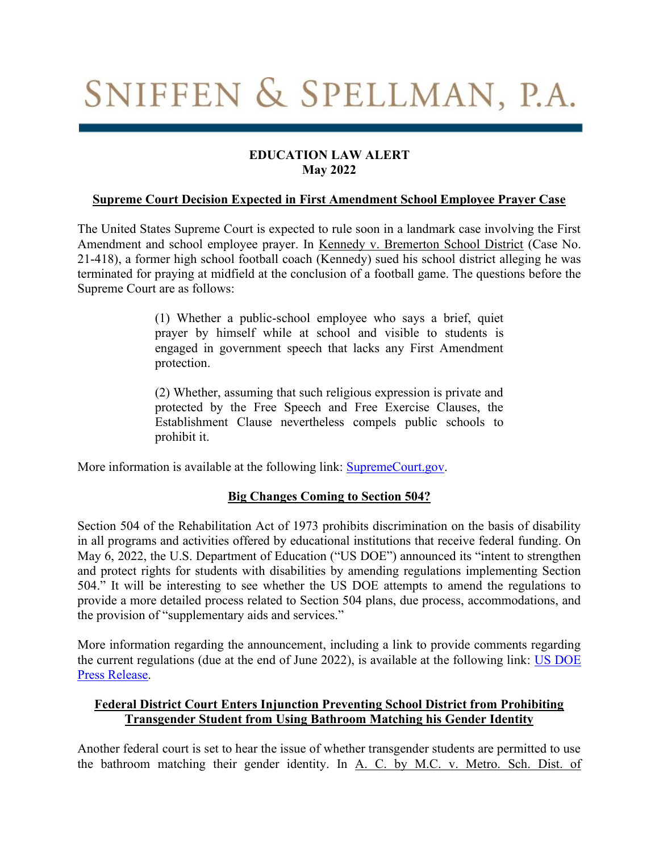# SNIFFEN & SPELLMAN, P.A.

## **EDUCATION LAW ALERT May 2022**

### **Supreme Court Decision Expected in First Amendment School Employee Prayer Case**

The United States Supreme Court is expected to rule soon in a landmark case involving the First Amendment and school employee prayer. In Kennedy v. Bremerton School District (Case No. 21-418), a former high school football coach (Kennedy) sued his school district alleging he was terminated for praying at midfield at the conclusion of a football game. The questions before the Supreme Court are as follows:

> (1) Whether a public-school employee who says a brief, quiet prayer by himself while at school and visible to students is engaged in government speech that lacks any First Amendment protection.

> (2) Whether, assuming that such religious expression is private and protected by the Free Speech and Free Exercise Clauses, the Establishment Clause nevertheless compels public schools to prohibit it.

More information is available at the following link: **SupremeCourt.gov.** 

## **Big Changes Coming to Section 504?**

Section 504 of the Rehabilitation Act of 1973 prohibits discrimination on the basis of disability in all programs and activities offered by educational institutions that receive federal funding. On May 6, 2022, the U.S. Department of Education ("US DOE") announced its "intent to strengthen and protect rights for students with disabilities by amending regulations implementing Section 504." It will be interesting to see whether the US DOE attempts to amend the regulations to provide a more detailed process related to Section 504 plans, due process, accommodations, and the provision of "supplementary aids and services."

More information regarding the announcement, including a link to provide comments regarding the current regulations (due at the end of June 2022), is available at the following link: [US DOE](https://www.ed.gov/news/press-releases/us-department-education-announces-intent-strengthen-and-protect-rights-students-disabilities-amending-regulations-implementing-section-504)  [Press Release.](https://www.ed.gov/news/press-releases/us-department-education-announces-intent-strengthen-and-protect-rights-students-disabilities-amending-regulations-implementing-section-504)

## **Federal District Court Enters Injunction Preventing School District from Prohibiting Transgender Student from Using Bathroom Matching his Gender Identity**

Another federal court is set to hear the issue of whether transgender students are permitted to use the bathroom matching their gender identity. In A. C. by M.C. v. Metro. Sch. Dist. of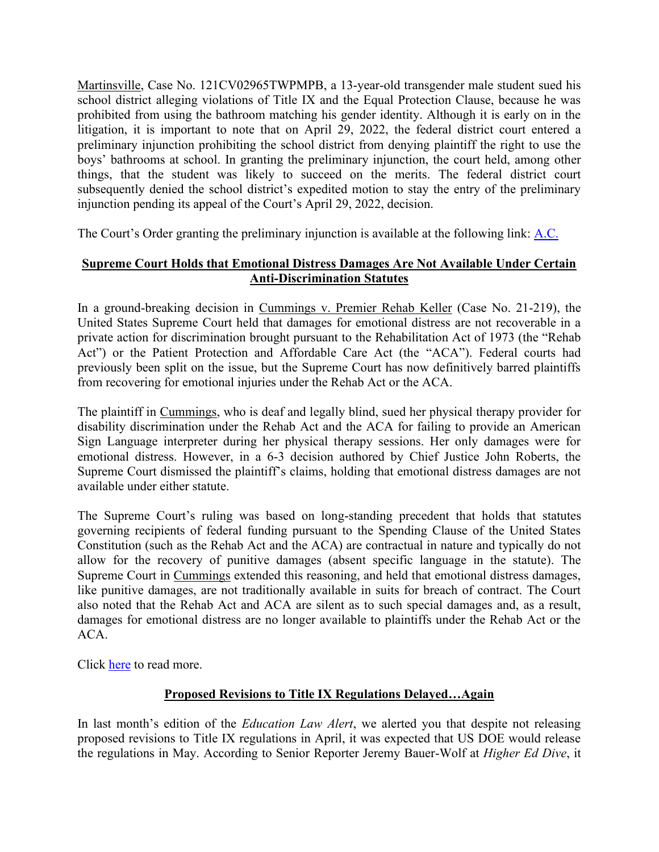Martinsville, Case No. 121CV02965TWPMPB, a 13-year-old transgender male student sued his school district alleging violations of Title IX and the Equal Protection Clause, because he was prohibited from using the bathroom matching his gender identity. Although it is early on in the litigation, it is important to note that on April 29, 2022, the federal district court entered a preliminary injunction prohibiting the school district from denying plaintiff the right to use the boys' bathrooms at school. In granting the preliminary injunction, the court held, among other things, that the student was likely to succeed on the merits. The federal district court subsequently denied the school district's expedited motion to stay the entry of the preliminary injunction pending its appeal of the Court's April 29, 2022, decision.

The Court's Order granting the preliminary injunction is available at the following link: [A.C.](https://casetext.com/case/ac-v-metro-sch-dist-of-martinsville)

## **Supreme Court Holds that Emotional Distress Damages Are Not Available Under Certain Anti-Discrimination Statutes**

In a ground-breaking decision in Cummings v. Premier Rehab Keller (Case No. 21-219), the United States Supreme Court held that damages for emotional distress are not recoverable in a private action for discrimination brought pursuant to the Rehabilitation Act of 1973 (the "Rehab Act") or the Patient Protection and Affordable Care Act (the "ACA"). Federal courts had previously been split on the issue, but the Supreme Court has now definitively barred plaintiffs from recovering for emotional injuries under the Rehab Act or the ACA.

The plaintiff in Cummings, who is deaf and legally blind, sued her physical therapy provider for disability discrimination under the Rehab Act and the ACA for failing to provide an American Sign Language interpreter during her physical therapy sessions. Her only damages were for emotional distress. However, in a 6-3 decision authored by Chief Justice John Roberts, the Supreme Court dismissed the plaintiff's claims, holding that emotional distress damages are not available under either statute.

The Supreme Court's ruling was based on long-standing precedent that holds that statutes governing recipients of federal funding pursuant to the Spending Clause of the United States Constitution (such as the Rehab Act and the ACA) are contractual in nature and typically do not allow for the recovery of punitive damages (absent specific language in the statute). The Supreme Court in Cummings extended this reasoning, and held that emotional distress damages, like punitive damages, are not traditionally available in suits for breach of contract. The Court also noted that the Rehab Act and ACA are silent as to such special damages and, as a result, damages for emotional distress are no longer available to plaintiffs under the Rehab Act or the ACA.

Click [here](https://www.supremecourt.gov/opinions/21pdf/20-219_1b82.pdf) to read more.

# **Proposed Revisions to Title IX Regulations Delayed…Again**

In last month's edition of the *Education Law Alert*, we alerted you that despite not releasing proposed revisions to Title IX regulations in April, it was expected that US DOE would release the regulations in May. According to Senior Reporter Jeremy Bauer-Wolf at *Higher Ed Dive*, it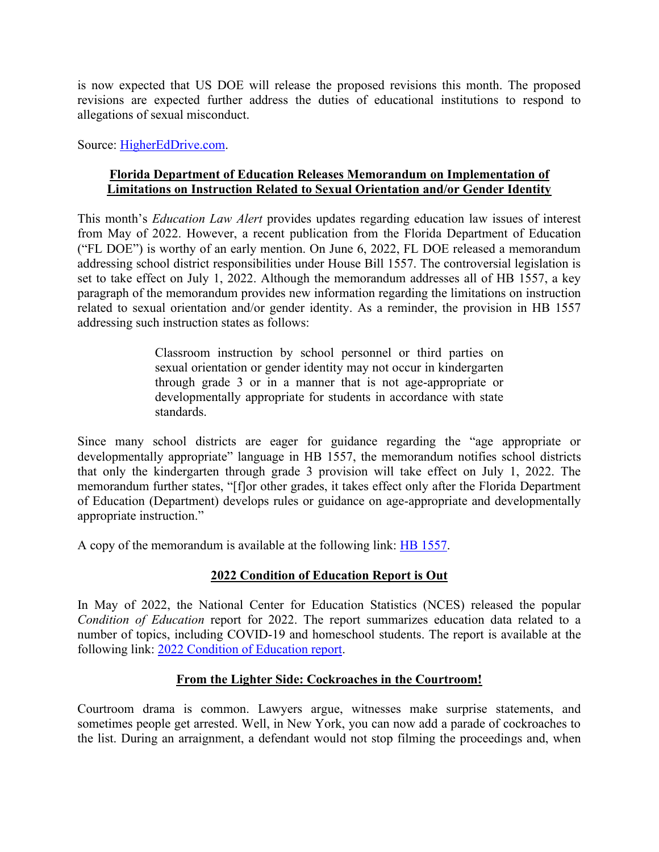is now expected that US DOE will release the proposed revisions this month. The proposed revisions are expected further address the duties of educational institutions to respond to allegations of sexual misconduct.

Source: [HigherEdDrive.com.](https://www.highereddive.com/news/ed-dept-delays-release-of-draft-title-ix-rule-again-now-targets-june/624228/)

## **Florida Department of Education Releases Memorandum on Implementation of Limitations on Instruction Related to Sexual Orientation and/or Gender Identity**

This month's *Education Law Alert* provides updates regarding education law issues of interest from May of 2022. However, a recent publication from the Florida Department of Education ("FL DOE") is worthy of an early mention. On June 6, 2022, FL DOE released a memorandum addressing school district responsibilities under House Bill 1557. The controversial legislation is set to take effect on July 1, 2022. Although the memorandum addresses all of HB 1557, a key paragraph of the memorandum provides new information regarding the limitations on instruction related to sexual orientation and/or gender identity. As a reminder, the provision in HB 1557 addressing such instruction states as follows:

> Classroom instruction by school personnel or third parties on sexual orientation or gender identity may not occur in kindergarten through grade 3 or in a manner that is not age-appropriate or developmentally appropriate for students in accordance with state standards.

Since many school districts are eager for guidance regarding the "age appropriate or developmentally appropriate" language in HB 1557, the memorandum notifies school districts that only the kindergarten through grade 3 provision will take effect on July 1, 2022. The memorandum further states, "[f]or other grades, it takes effect only after the Florida Department of Education (Department) develops rules or guidance on age-appropriate and developmentally appropriate instruction."

A copy of the memorandum is available at the following link: [HB 1557.](https://npr.brightspotcdn.com/75/17/4c42a5a14794b6ea377664704f59/memorandum-house-bill-1557-parental-rights-in-education-school-district-responsibilities.pdf#page=1&zoom=auto,-20,710)

# **2022 Condition of Education Report is Out**

In May of 2022, the National Center for Education Statistics (NCES) released the popular *Condition of Education* report for 2022. The report summarizes education data related to a number of topics, including COVID-19 and homeschool students. The report is available at the following link: [2022 Condition of Education report.](https://nces.ed.gov/pubs2022/2022144.pdf)

## **From the Lighter Side: Cockroaches in the Courtroom!**

Courtroom drama is common. Lawyers argue, witnesses make surprise statements, and sometimes people get arrested. Well, in New York, you can now add a parade of cockroaches to the list. During an arraignment, a defendant would not stop filming the proceedings and, when